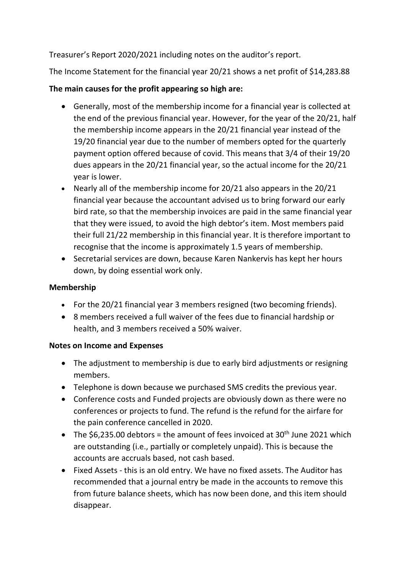Treasurer's Report 2020/2021 including notes on the auditor's report.

The Income Statement for the financial year 20/21 shows a net profit of \$14,283.88

## The main causes for the profit appearing so high are:

- Generally, most of the membership income for a financial year is collected at the end of the previous financial year. However, for the year of the 20/21, half the membership income appears in the 20/21 financial year instead of the 19/20 financial year due to the number of members opted for the quarterly payment option offered because of covid. This means that 3/4 of their 19/20 dues appears in the 20/21 financial year, so the actual income for the 20/21 year is lower.
- Nearly all of the membership income for 20/21 also appears in the 20/21 financial year because the accountant advised us to bring forward our early bird rate, so that the membership invoices are paid in the same financial year that they were issued, to avoid the high debtor's item. Most members paid their full 21/22 membership in this financial year. It is therefore important to recognise that the income is approximately 1.5 years of membership.
- Secretarial services are down, because Karen Nankervis has kept her hours down, by doing essential work only.

## Membership

- For the 20/21 financial year 3 members resigned (two becoming friends).
- 8 members received a full waiver of the fees due to financial hardship or health, and 3 members received a 50% waiver.

## Notes on Income and Expenses

- The adjustment to membership is due to early bird adjustments or resigning members.
- Telephone is down because we purchased SMS credits the previous year.
- Conference costs and Funded projects are obviously down as there were no conferences or projects to fund. The refund is the refund for the airfare for the pain conference cancelled in 2020.
- The  $$6,235.00$  debtors = the amount of fees invoiced at  $30<sup>th</sup>$  June 2021 which are outstanding (i.e., partially or completely unpaid). This is because the accounts are accruals based, not cash based.
- Fixed Assets this is an old entry. We have no fixed assets. The Auditor has recommended that a journal entry be made in the accounts to remove this from future balance sheets, which has now been done, and this item should disappear.